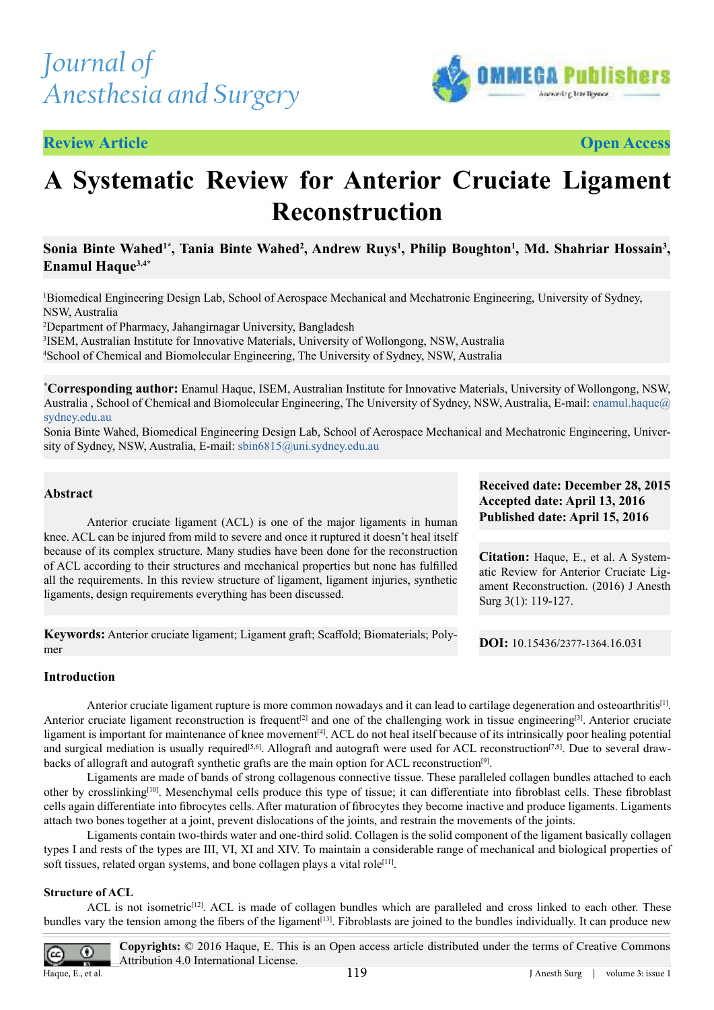# *Journal of Anesthesia and Surgery*

**Review Article**



**Open Access**

## **A Systematic Review for Anterior Cruciate Ligament Reconstruction**

## **Sonia Binte Wahed1\*, Tania Binte Wahed<sup>2</sup> , Andrew Ruys<sup>1</sup> , Philip Boughton<sup>1</sup> , Md. Shahriar Hossain<sup>3</sup> , Enamul Haque3,4\***

<sup>1</sup>Biomedical Engineering Design Lab, School of Aerospace Mechanical and Mechatronic Engineering, University of Sydney, NSW, Australia

<sup>2</sup>Department of Pharmacy, Jahangirnagar University, Bangladesh

3 ISEM, Australian Institute for Innovative Materials, University of Wollongong, NSW, Australia <sup>4</sup>School of Chemical and Biomolecular Engineering, The University of Sydney, NSW, Australia

**\*Corresponding author:** Enamul Haque, ISEM, Australian Institute for Innovative Materials, University of Wollongong, NSW, Australia, School of Chemical and Biomolecular Engineering, The University of Sydney, NSW, Australia, E-mail: [enamul.haque@](mailto:enamul.haque%40sydney.edu.au?subject=) [sydney.edu.au](mailto:enamul.haque%40sydney.edu.au?subject=)

Sonia Binte Wahed, Biomedical Engineering Design Lab, School of Aerospace Mechanical and Mechatronic Engineering, University of Sydney, NSW, Australia, E-mail: sbin6815@uni.sydney.edu.au

## **Abstract**

 Anterior cruciate ligament (ACL) is one of the major ligaments in human knee. ACL can be injured from mild to severe and once it ruptured it doesn't heal itself because of its complex structure. Many studies have been done for the reconstruction of ACL according to their structures and mechanical properties but none has fulilled all the requirements. In this review structure of ligament, ligament injuries, synthetic ligaments, design requirements everything has been discussed.

**Keywords:** Anterior cruciate ligament; Ligament graft; Scafold; Biomaterials; Polymer

## **Received date: December 28, 2015 Accepted date: April 13, 2016 Published date: April 15, 2016**

**Citation:** Haque, E., et al. A Systematic Review for Anterior Cruciate Ligament Reconstruction. (2016) J Anesth Surg 3(1): 119-127.

**DOI:** 10.15436/2377-1364.16.031

## **Introduction**

Anterior cruciate ligament rupture is more common nowadays and it can lead to cartilage degeneration and osteoarthritis $[1]$ . Anterior cruciate ligament reconstruction is frequent<sup>[\[2\]](#page-5-1)</sup> and one of the challenging work in tissue engineering<sup>[\[3\]](#page-5-2)</sup>. Anterior cruciate ligament is important for maintenance of knee movement<sup>[\[4\]](#page-5-3)</sup>. ACL do not heal itself because of its intrinsically poor healing potential and surgical mediation is usually required<sup>[\[5,6\]](#page-5-3)</sup>. Allograft and autograft were used for ACL reconstruction<sup>[\[7,8\]](#page-5-4)</sup>. Due to several draw-backs of allograft and autograft synthetic grafts are the main option for ACL reconstruction<sup>[\[9\]](#page-5-5)</sup>.

 Ligaments are made of bands of strong collagenous connective tissue. These paralleled collagen bundles attached to each other by crosslinking<sup>[\[10\]](#page-5-6)</sup>. Mesenchymal cells produce this type of tissue; it can differentiate into fibroblast cells. These fibroblast cells again diferentiate into ibrocytes cells. After maturation of ibrocytes they become inactive and produce ligaments. Ligaments attach two bones together at a joint, prevent dislocations of the joints, and restrain the movements of the joints.

 Ligaments contain two-thirds water and one-third solid. Collagen is the solid component of the ligament basically collagen types I and rests of the types are III, VI, XI and XIV. To maintain a considerable range of mechanical and biological properties of soft tissues, related organ systems, and bone collagen plays a vital role<sup>[\[11\]](#page-5-7)</sup>.

#### **Structure of ACL**

ACL is not isometric<sup>[\[12\]](#page-5-8)</sup>. ACL is made of collagen bundles which are paralleled and cross linked to each other. These bundles vary the tension among the fibers of the ligament<sup>[\[13\]](#page-5-9)</sup>. Fibroblasts are joined to the bundles individually. It can produce new

0

Haque, E., et al. **Figure** 1 and  $\overline{119}$  **J** Anesth Surg | volume 3: issue 1 **Copyrights:** © 2016 Haque, E. This is an Open access article distributed under the terms of Creative Commons Attribution 4.0 International License.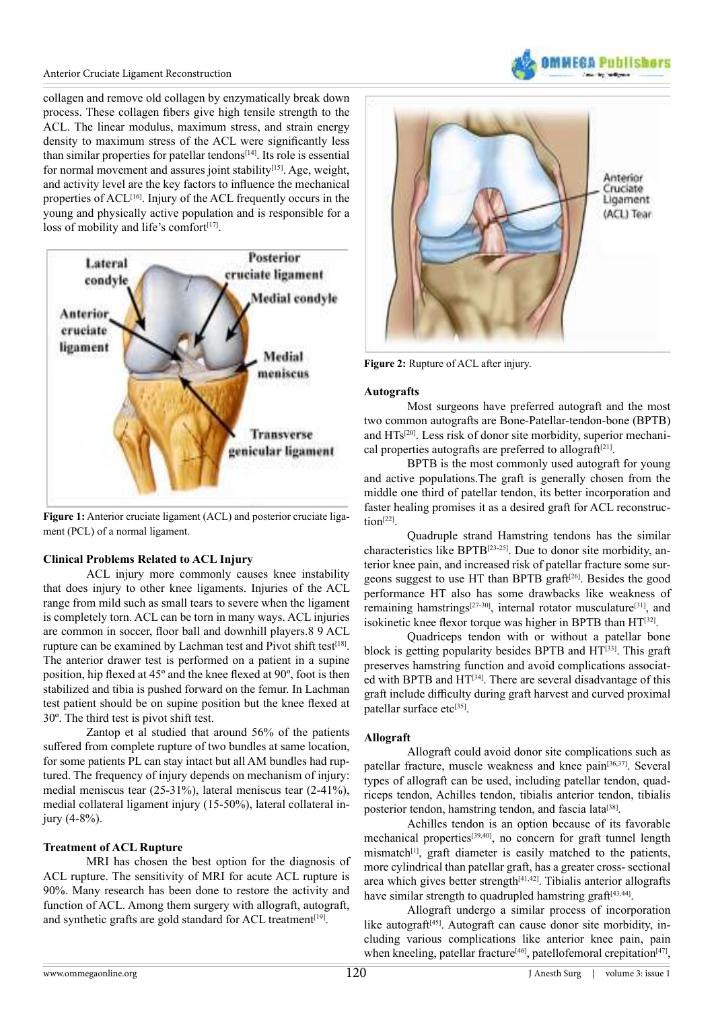collagen and remove old collagen by enzymatically break down process. These collagen fibers give high tensile strength to the ACL. The linear modulus, maximum stress, and strain energy density to maximum stress of the ACL were significantly less than similar properties for patellar tendons $[14]$ . Its role is essential for normal movement and assures joint stability<sup>[\[15\]](#page-5-10)</sup>. Age, weight, and activity level are the key factors to inluence the mechanical properties of ACL[\[16\]](#page-5-11). Injury of the ACL frequently occurs in the young and physically active population and is responsible for a loss of mobility and life's comfort $[17]$ .



**Figure 1:** Anterior cruciate ligament (ACL) and posterior cruciate ligament (PCL) of a normal ligament.

#### **Clinical Problems Related to ACL Injury**

 ACL injury more commonly causes knee instability that does injury to other knee ligaments. Injuries of the ACL range from mild such as small tears to severe when the ligament is completely torn. ACL can be torn in many ways. ACL injuries are common in soccer, floor ball and downhill players.8 9 ACL rupture can be examined by Lachman test and Pivot shift test<sup>[\[18\]](#page-5-13)</sup>. The anterior drawer test is performed on a patient in a supine position, hip flexed at 45° and the knee flexed at 90°, foot is then stabilized and tibia is pushed forward on the femur. In Lachman test patient should be on supine position but the knee flexed at 30º. The third test is pivot shift test.

 Zantop et al studied that around 56% of the patients suffered from complete rupture of two bundles at same location, for some patients PL can stay intact but all AM bundles had ruptured. The frequency of injury depends on mechanism of injury: medial meniscus tear (25-31%), lateral meniscus tear (2-41%), medial collateral ligament injury (15-50%), lateral collateral injury (4-8%).

#### **Treatment of ACL Rupture**

 MRI has chosen the best option for the diagnosis of ACL rupture. The sensitivity of MRI for acute ACL rupture is 90%. Many research has been done to restore the activity and function of ACL. Among them surgery with allograft, autograft, and synthetic grafts are gold standard for ACL treatment<sup>[\[19\]](#page-5-14)</sup>.



**MMFRA Public** 

**Figure 2:** Rupture of ACL after injury.

#### **Autografts**

 Most surgeons have preferred autograft and the most two common autografts are Bone-Patellar-tendon-bone (BPTB) and HTs[\[20\]](#page-5-15). Less risk of donor site morbidity, superior mechanical properties autografts are preferred to allograft $[21]$ .

 BPTB is the most commonly used autograft for young and active populations.The graft is generally chosen from the middle one third of patellar tendon, its better incorporation and faster healing promises it as a desired graft for ACL reconstruc- $\text{tion}^{[22]}$  $\text{tion}^{[22]}$  $\text{tion}^{[22]}$ .

 Quadruple strand Hamstring tendons has the similar characteristics like BPTB[\[23-25\]](#page-5-18). Due to donor site morbidity, anterior knee pain, and increased risk of patellar fracture some surgeons suggest to use HT than BPTB graft $[26]$ . Besides the good performance HT also has some drawbacks like weakness of remaining hamstrings<sup>[\[27-30\]](#page-5-20)</sup>, internal rotator musculature<sup>[\[31\]](#page-6-0)</sup>, and isokinetic knee flexor torque was higher in BPTB than HT<sup>[\[32\]](#page-6-1)</sup>.

 Quadriceps tendon with or without a patellar bone block is getting popularity besides BPTB and HT<sup>[\[33\]](#page-6-2)</sup>. This graft preserves hamstring function and avoid complications associated with BPTB and  $HT^{[34]}$  $HT^{[34]}$  $HT^{[34]}$ . There are several disadvantage of this graft include difficulty during graft harvest and curved proximal patellar surface etc<sup>[\[35\]](#page-6-4)</sup>.

## **Allograft**

 Allograft could avoid donor site complications such as patellar fracture, muscle weakness and knee pain<sup>[\[36,37\]](#page-6-5)</sup>. Several types of allograft can be used, including patellar tendon, quadriceps tendon, Achilles tendon, tibialis anterior tendon, tibialis posterior tendon, hamstring tendon, and fascia lata<sup>[\[38\]](#page-6-6)</sup>.

 Achilles tendon is an option because of its favorable mechanical properties<sup>[\[39,40\]](#page-6-7)</sup>, no concern for graft tunnel length mismatch<sup>[1]</sup>, graft diameter is easily matched to the patients, more cylindrical than patellar graft, has a greater cross- sectional area which gives better strength $[41,42]$ . Tibialis anterior allografts have similar strength to quadrupled hamstring graft<sup>[\[43,44\]](#page-6-9)</sup>.

 Allograft undergo a similar process of incorporation like autograft<sup>[\[45\]](#page-6-10)</sup>. Autograft can cause donor site morbidity, including various complications like anterior knee pain, pain when kneeling, patellar fracture<sup>[\[46\]](#page-6-11)</sup>, patellofemoral crepitation<sup>[\[47\]](#page-6-12)</sup>,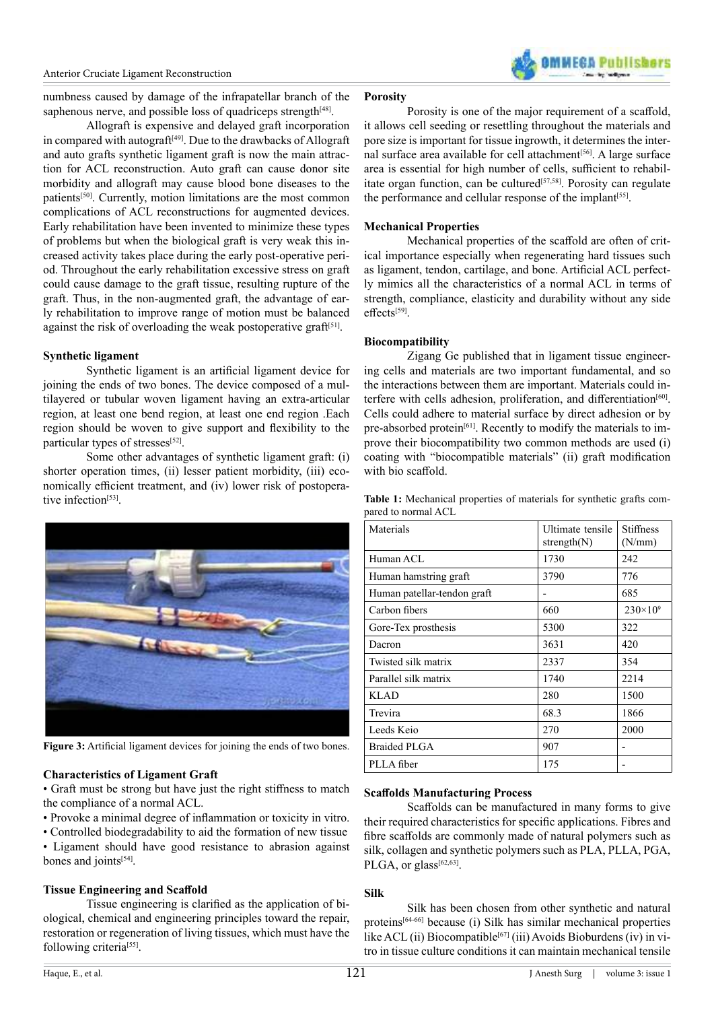

numbness caused by damage of the infrapatellar branch of the saphenous nerve, and possible loss of quadriceps strength<sup>[\[48\]](#page-6-13)</sup>.

 Allograft is expensive and delayed graft incorporation in compared with autograft<sup>[\[49\]](#page-6-14)</sup>. Due to the drawbacks of Allograft and auto grafts synthetic ligament graft is now the main attraction for ACL reconstruction. Auto graft can cause donor site morbidity and allograft may cause blood bone diseases to the patients<sup>[\[50\]](#page-6-15)</sup>. Currently, motion limitations are the most common complications of ACL reconstructions for augmented devices. Early rehabilitation have been invented to minimize these types of problems but when the biological graft is very weak this increased activity takes place during the early post-operative period. Throughout the early rehabilitation excessive stress on graft could cause damage to the graft tissue, resulting rupture of the graft. Thus, in the non-augmented graft, the advantage of early rehabilitation to improve range of motion must be balanced against the risk of overloading the weak postoperative graft $[51]$ .

#### **Synthetic ligament**

Synthetic ligament is an artificial ligament device for joining the ends of two bones. The device composed of a multilayered or tubular woven ligament having an extra-articular region, at least one bend region, at least one end region .Each region should be woven to give support and flexibility to the particular types of stresses<sup>[\[52\]](#page-6-16)</sup>.

 Some other advantages of synthetic ligament graft: (i) shorter operation times, (ii) lesser patient morbidity, (iii) economically efficient treatment, and (iv) lower risk of postopera-tive infection<sup>[\[53\]](#page-6-17)</sup>.



Figure 3: Artificial ligament devices for joining the ends of two bones.

#### **Characteristics of Ligament Graft**

• Graft must be strong but have just the right stifness to match the compliance of a normal ACL.

- Provoke a minimal degree of inlammation or toxicity in vitro.
- Controlled biodegradability to aid the formation of new tissue • Ligament should have good resistance to abrasion against

bones and joints<sup>[\[54\]](#page-6-18)</sup>.

#### **Tissue Engineering and Scafold**

Tissue engineering is clarified as the application of biological, chemical and engineering principles toward the repair, restoration or regeneration of living tissues, which must have the following criteria<sup>[\[55\]](#page-6-19)</sup>.

Porosity is one of the major requirement of a scaffold, it allows cell seeding or resettling throughout the materials and pore size is important for tissue ingrowth, it determines the inter-nal surface area available for cell attachment<sup>[\[56\]](#page-6-20)</sup>. A large surface area is essential for high number of cells, sufficient to rehabil-itate organ function, can be cultured<sup>[\[57,58\]](#page-6-21)</sup>. Porosity can regulate the performance and cellular response of the implant<sup>[55]</sup>.

#### **Mechanical Properties**

**Porosity**

 Mechanical properties of the scafold are often of critical importance especially when regenerating hard tissues such as ligament, tendon, cartilage, and bone. Artificial ACL perfectly mimics all the characteristics of a normal ACL in terms of strength, compliance, elasticity and durability without any side effects<sup>[\[59\]](#page-6-22)</sup>.

#### **Biocompatibility**

 Zigang Ge published that in ligament tissue engineering cells and materials are two important fundamental, and so the interactions between them are important. Materials could in-terfere with cells adhesion, proliferation, and differentiation<sup>[\[60\]](#page-6-23)</sup>. Cells could adhere to material surface by direct adhesion or by pre-absorbed protein<sup>[\[61\]](#page-6-24)</sup>. Recently to modify the materials to improve their biocompatibility two common methods are used (i) coating with "biocompatible materials" (ii) graft modification with bio scaffold.

**Table 1:** Mechanical properties of materials for synthetic grafts compared to normal ACL

| Materials                   | Ultimate tensile<br>strength $(N)$ | <b>Stiffness</b><br>(N/mm) |
|-----------------------------|------------------------------------|----------------------------|
| Human ACL                   | 1730                               | 242                        |
| Human hamstring graft       | 3790                               | 776                        |
| Human patellar-tendon graft |                                    | 685                        |
| Carbon fibers               | 660                                | $230 \times 10^{9}$        |
| Gore-Tex prosthesis         | 5300                               | 322                        |
| Dacron                      | 3631                               | 420                        |
| Twisted silk matrix         | 2337                               | 354                        |
| Parallel silk matrix        | 1740                               | 2214                       |
| KLAD                        | 280                                | 1500                       |
| Trevira                     | 68.3                               | 1866                       |
| Leeds Keio                  | 270                                | 2000                       |
| Braided PLGA                | 907                                |                            |
| PLLA fiber                  | 175                                |                            |

#### **Scafolds Manufacturing Process**

Scaffolds can be manufactured in many forms to give their required characteristics for specific applications. Fibres and fibre scaffolds are commonly made of natural polymers such as silk, collagen and synthetic polymers such as PLA, PLLA, PGA, PLGA, or glass<sup>[\[62,63\]](#page-6-25)</sup>.

#### **Silk**

 Silk has been chosen from other synthetic and natural proteins[\[64-66\]](#page-6-26) because (i) Silk has similar mechanical properties like ACL (ii) Biocompatible<sup>[\[67\]](#page-6-27)</sup> (iii) Avoids Bioburdens (iv) in vitro in tissue culture conditions it can maintain mechanical tensile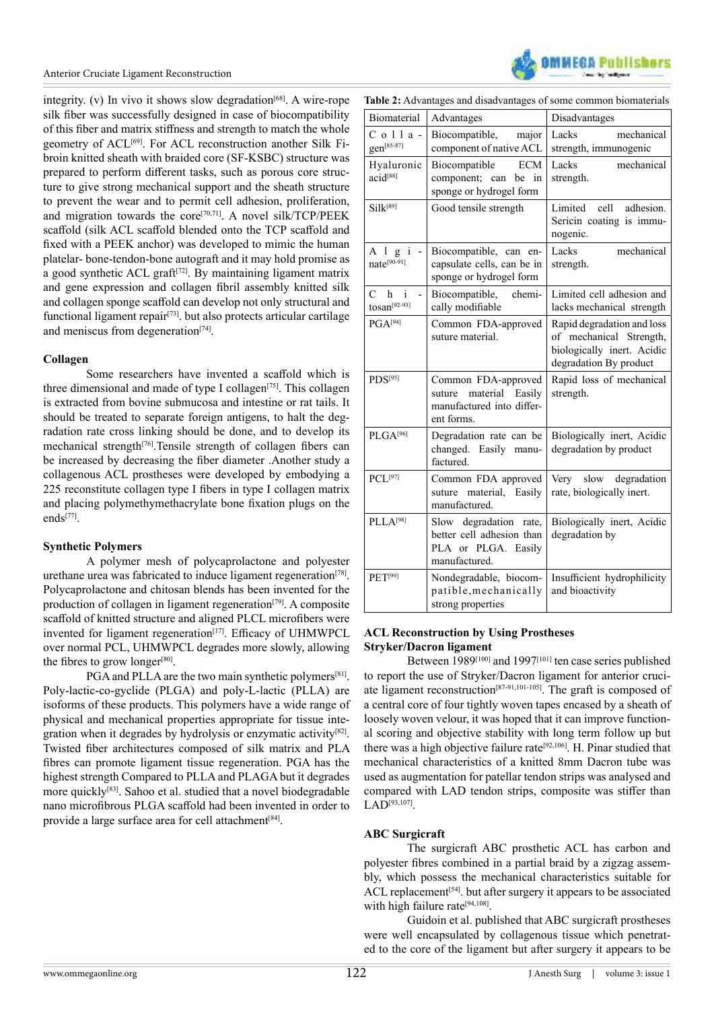

integrity. (v) In vivo it shows slow degradation<sup>[\[68\]](#page-6-28)</sup>. A wire-rope silk fiber was successfully designed in case of biocompatibility of this iber and matrix stifness and strength to match the whole geometry of ACL<sup>[\[69\]](#page-6-29)</sup>. For ACL reconstruction another Silk Fibroin knitted sheath with braided core (SF-KSBC) structure was prepared to perform diferent tasks, such as porous core structure to give strong mechanical support and the sheath structure to prevent the wear and to permit cell adhesion, proliferation, and migration towards the core[\[70,71\]](#page-6-30). A novel silk/TCP/PEEK scaffold (silk ACL scaffold blended onto the TCP scaffold and fixed with a PEEK anchor) was developed to mimic the human platelar- bone-tendon-bone autograft and it may hold promise as a good synthetic ACL graft $[72]$ . By maintaining ligament matrix and gene expression and collagen ibril assembly knitted silk and collagen sponge scaffold can develop not only structural and functional ligament repair<sup>[\[73\]](#page-6-32)</sup>. but also protects articular cartilage and meniscus from degeneration<sup>[\[74\]](#page-7-0)</sup>.

#### **Collagen**

Some researchers have invented a scaffold which is three dimensional and made of type I collagen<sup>[\[75\]](#page-7-1)</sup>. This collagen is extracted from bovine submucosa and intestine or rat tails. It should be treated to separate foreign antigens, to halt the degradation rate cross linking should be done, and to develop its mechanical strength<sup>[\[76\]](#page-7-2)</sup>.Tensile strength of collagen fibers can be increased by decreasing the iber diameter .Another study a collagenous ACL prostheses were developed by embodying a 225 reconstitute collagen type I fibers in type I collagen matrix and placing polymethymethacrylate bone ixation plugs on the ends[\[77\]](#page-7-3) .

## **Synthetic Polymers**

 A polymer mesh of polycaprolactone and polyester urethane urea was fabricated to induce ligament regeneration<sup>[\[78\]](#page-7-4)</sup>. Polycaprolactone and chitosan blends has been invented for the production of collagen in ligament regeneration<sup>[\[79\]](#page-7-5)</sup>. A composite scaffold of knitted structure and aligned PLCL microfibers were invented for ligament regeneration<sup>[17]</sup>. Efficacy of UHMWPCL over normal PCL, UHMWPCL degrades more slowly, allowing the fibres to grow longer<sup>[\[80\]](#page-7-6)</sup>.

PGA and PLLA are the two main synthetic polymers<sup>[\[81\]](#page-7-7)</sup>. Poly-lactic-co-gyclide (PLGA) and poly-L-lactic (PLLA) are isoforms of these products. This polymers have a wide range of physical and mechanical properties appropriate for tissue inte-gration when it degrades by hydrolysis or enzymatic activity<sup>[\[82\]](#page-7-8)</sup>. Twisted fiber architectures composed of silk matrix and PLA fibres can promote ligament tissue regeneration. PGA has the highest strength Compared to PLLA and PLAGA but it degrades more quickly<sup>[\[83\]](#page-7-9)</sup>. Sahoo et al. studied that a novel biodegradable nano microfibrous PLGA scaffold had been invented in order to provide a large surface area for cell attachment<sup>[\[84\]](#page-7-10)</sup>.

| <b>Biomaterial</b>                                      | Advantages                                                                                  | Disadvantages                                                                                                 |  |
|---------------------------------------------------------|---------------------------------------------------------------------------------------------|---------------------------------------------------------------------------------------------------------------|--|
| $C$ o $11a$ -<br>gen[85-87]                             | Biocompatible,<br>major<br>component of native ACL                                          | mechanical<br>Lacks<br>strength, immunogenic                                                                  |  |
| Hyaluronic<br>acid <sup>[88]</sup>                      | Biocompatible<br><b>ECM</b><br>component; can<br>be in<br>sponge or hydrogel form           | mechanical<br>Lacks<br>strength.                                                                              |  |
| $Si1k^{[89]}$                                           | Good tensile strength                                                                       | Limited<br>cell<br>adhesion.<br>Sericin coating is immu-<br>nogenic.                                          |  |
| Algi-<br>nate <sup>[90-91]</sup>                        | Biocompatible, can en-<br>capsulate cells, can be in<br>sponge or hydrogel form             | Lacks<br>mechanical<br>strength.                                                                              |  |
| $\mathcal{C}$<br>$\mathbf{i}$<br>h<br>$tosan^{[92-93]}$ | Biocompatible,<br>chemi-<br>cally modifiable                                                | Limited cell adhesion and<br>lacks mechanical strength                                                        |  |
| $PGA^{[94]}$                                            | Common FDA-approved<br>suture material.                                                     | Rapid degradation and loss<br>of mechanical Strength,<br>biologically inert. Acidic<br>degradation By product |  |
| $PDS^{[95]}$                                            | Common FDA-approved<br>material Easily<br>suture<br>manufactured into differ-<br>ent forms. | Rapid loss of mechanical<br>strength.                                                                         |  |
| PLGA <sup>[96]</sup>                                    | Degradation rate can be<br>changed. Easily manu-<br>factured.                               | Biologically inert, Acidic<br>degradation by product                                                          |  |
| $PCL^{[97]}$                                            | Common FDA approved<br>suture material, Easily<br>manufactured.                             | slow degradation<br>Very<br>rate, biologically inert.                                                         |  |
| PLLA <sup>[98]</sup>                                    | Slow degradation rate,<br>better cell adhesion than<br>PLA or PLGA. Easily<br>manufactured. | Biologically inert, Acidic<br>degradation by                                                                  |  |
| PET <sup>[99]</sup>                                     | Nondegradable, biocom-<br>patible, mechanically<br>strong properties                        | Insufficient hydrophilicity<br>and bioactivity                                                                |  |

#### **ACL Reconstruction by Using Prostheses Stryker/Dacron ligament**

Between 1989<sup>[\[100\]](#page-7-11)</sup> and 1997<sup>[\[101\]](#page-7-12)</sup> ten case series published to report the use of Stryker/Dacron ligament for anterior cruciate ligament reconstruction[\[87-91,101-105\]](#page-7-13). The graft is composed of a central core of four tightly woven tapes encased by a sheath of loosely woven velour, it was hoped that it can improve functional scoring and objective stability with long term follow up but there was a high objective failure rate<sup>[\[92,106\]](#page-7-14)</sup>. H. Pinar studied that mechanical characteristics of a knitted 8mm Dacron tube was used as augmentation for patellar tendon strips was analysed and compared with LAD tendon strips, composite was stifer than LAD<sup>[\[93,107\]](#page-7-15)</sup>.

#### **ABC Surgicraft**

 The surgicraft ABC prosthetic ACL has carbon and polyester ibres combined in a partial braid by a zigzag assembly, which possess the mechanical characteristics suitable for ACL replacement<sup>[54]</sup>. but after surgery it appears to be associated with high failure rate<sup>[\[94,108\]](#page-7-16)</sup>.

 Guidoin et al. published that ABC surgicraft prostheses were well encapsulated by collagenous tissue which penetrated to the core of the ligament but after surgery it appears to be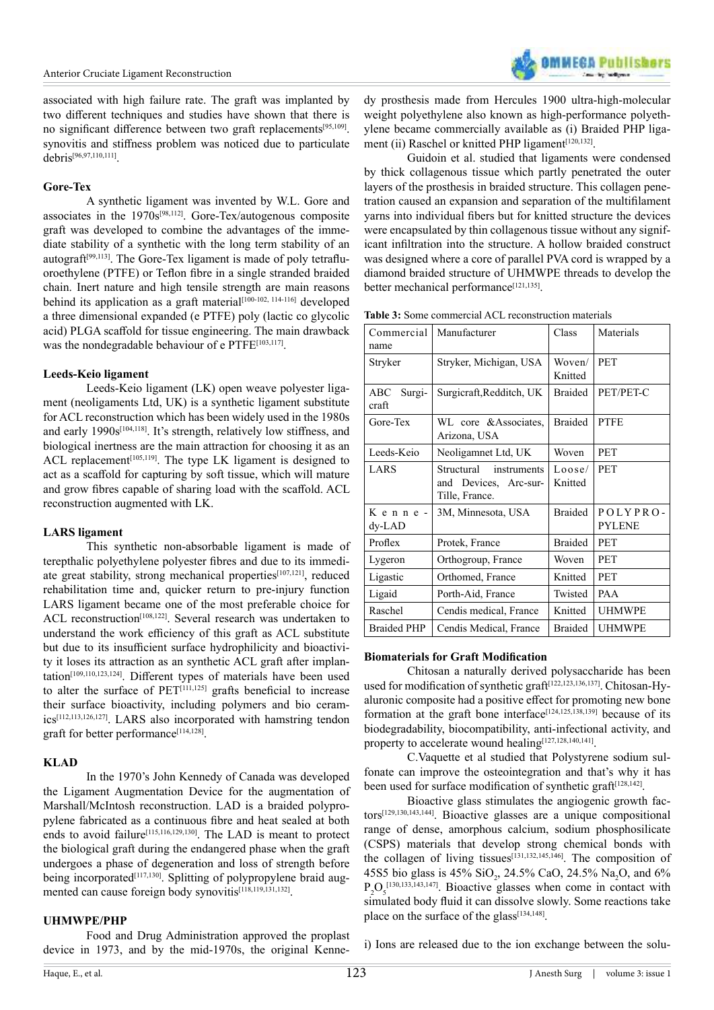

associated with high failure rate. The graft was implanted by two diferent techniques and studies have shown that there is no significant difference between two graft replacements<sup>[\[95,109\]](#page-7-17)</sup>. synovitis and stifness problem was noticed due to particulate debris[\[96,97,110,111\]](#page-7-18) .

#### **Gore-Tex**

 A synthetic ligament was invented by W.L. Gore and associates in the  $1970s^{[98,112]}$  $1970s^{[98,112]}$  $1970s^{[98,112]}$ . Gore-Tex/autogenous composite graft was developed to combine the advantages of the immediate stability of a synthetic with the long term stability of an autograft $[99,113]$ . The Gore-Tex ligament is made of poly tetrafluoroethylene (PTFE) or Telon ibre in a single stranded braided chain. Inert nature and high tensile strength are main reasons behind its application as a graft material<sup>[\[100-102, 114-116\]](#page-7-21)</sup> developed a three dimensional expanded (e PTFE) poly (lactic co glycolic acid) PLGA scafold for tissue engineering. The main drawback was the nondegradable behaviour of e PTFE[\[103,117\]](#page-7-22) .

### **Leeds-Keio ligament**

 Leeds-Keio ligament (LK) open weave polyester ligament (neoligaments Ltd, UK) is a synthetic ligament substitute for ACL reconstruction which has been widely used in the 1980s and early 1990s<sup>[\[104,118\]](#page-8-0)</sup>. It's strength, relatively low stiffness, and biological inertness are the main attraction for choosing it as an ACL replacement<sup>[\[105,119\]](#page-8-1)</sup>. The type LK ligament is designed to act as a scafold for capturing by soft tissue, which will mature and grow ibres capable of sharing load with the scafold. ACL reconstruction augmented with LK.

## **LARS ligament**

 This synthetic non-absorbable ligament is made of terepthalic polyethylene polyester ibres and due to its immedi-ate great stability, strong mechanical properties<sup>[\[107,121\]](#page-8-2)</sup>, reduced rehabilitation time and, quicker return to pre-injury function LARS ligament became one of the most preferable choice for ACL reconstruction<sup>[\[108,122\]](#page-8-3)</sup>. Several research was undertaken to understand the work efficiency of this graft as ACL substitute but due to its insufficient surface hydrophilicity and bioactivity it loses its attraction as an synthetic ACL graft after implantation[\[109,110,123,124\]](#page-8-4). Diferent types of materials have been used to alter the surface of  $PET^{[111,125]}$  $PET^{[111,125]}$  $PET^{[111,125]}$  grafts beneficial to increase their surface bioactivity, including polymers and bio ceramics[\[112,113,126,127\]](#page-8-6). LARS also incorporated with hamstring tendon graft for better performance<sup>[\[114,128\]](#page-8-7)</sup>.

## **KLAD**

 In the 1970's John Kennedy of Canada was developed the Ligament Augmentation Device for the augmentation of Marshall/McIntosh reconstruction. LAD is a braided polypropylene fabricated as a continuous ibre and heat sealed at both ends to avoid failure<sup>[\[115,116,129,130\]](#page-8-8)</sup>. The LAD is meant to protect the biological graft during the endangered phase when the graft undergoes a phase of degeneration and loss of strength before being incorporated<sup>[\[117,130\]](#page-8-9)</sup>. Splitting of polypropylene braid aug-mented can cause foreign body synovitis<sup>[\[118,119,131,132\]](#page-8-10)</sup>.

#### **UHMWPE/PHP**

 Food and Drug Administration approved the proplast device in 1973, and by the mid-1970s, the original Kennedy prosthesis made from Hercules 1900 ultra-high-molecular weight polyethylene also known as high-performance polyethylene became commercially available as (i) Braided PHP liga-ment (ii) Raschel or knitted PHP ligament<sup>[\[120,132\]](#page-8-11)</sup>.

 Guidoin et al. studied that ligaments were condensed by thick collagenous tissue which partly penetrated the outer layers of the prosthesis in braided structure. This collagen penetration caused an expansion and separation of the multifilament yarns into individual fibers but for knitted structure the devices were encapsulated by thin collagenous tissue without any significant infiltration into the structure. A hollow braided construct was designed where a core of parallel PVA cord is wrapped by a diamond braided structure of UHMWPE threads to develop the better mechanical performance<sup>[\[121,135\]](#page-8-12)</sup>.

| Commercial<br>name     | Manufacturer                                                         | Class             | Materials                 |
|------------------------|----------------------------------------------------------------------|-------------------|---------------------------|
| Stryker                | Stryker, Michigan, USA                                               | Woven/<br>Knitted | <b>PET</b>                |
| Surgi-<br>ABC<br>craft | Surgicraft, Redditch, UK                                             | <b>Braided</b>    | PET/PET-C                 |
| Gore-Tex               | WL core & Associates,<br>Arizona, USA                                | <b>Braided</b>    | <b>PTFE</b>               |
| Leeds-Keio             | Neoligamnet Ltd, UK                                                  | Woven             | <b>PET</b>                |
| LARS                   | Structural<br>instruments<br>and Devices, Arc-sur-<br>Tille, France. | Loose/<br>Knitted | <b>PET</b>                |
| Kenne-<br>$dy-LAD$     | 3M, Minnesota, USA                                                   | <b>Braided</b>    | POLYPRO-<br><b>PYLENE</b> |
| Proflex                | Protek, France                                                       | <b>Braided</b>    | <b>PET</b>                |
| Lygeron                | Orthogroup, France                                                   | Woven             | <b>PET</b>                |
| Ligastic               | Orthomed, France                                                     | Knitted           | <b>PET</b>                |
| Ligaid                 | Porth-Aid, France                                                    | Twisted           | <b>PAA</b>                |
| Raschel                | Cendis medical, France                                               | Knitted           | <b>UHMWPE</b>             |
| <b>Braided PHP</b>     | Cendis Medical, France                                               | <b>Braided</b>    | <b>UHMWPE</b>             |

#### **Biomaterials for Graft Modiication**

 Chitosan a naturally derived polysaccharide has been used for modification of synthetic graft<sup>[\[122,123,136,137\]](#page-8-13)</sup>. Chitosan-Hyaluronic composite had a positive effect for promoting new bone formation at the graft bone interface<sup>[\[124,125,138,139\]](#page-8-14)</sup> because of its biodegradability, biocompatibility, anti-infectional activity, and property to accelerate wound healing[\[127,128,140,141\]](#page-8-15).

 C.Vaquette et al studied that Polystyrene sodium sulfonate can improve the osteointegration and that's why it has been used for surface modification of synthetic graft<sup>[\[128,142\]](#page-8-16)</sup>.

 Bioactive glass stimulates the angiogenic growth factors[\[129,130,143,144\]](#page-8-17). Bioactive glasses are a unique compositional range of dense, amorphous calcium, sodium phosphosilicate (CSPS) materials that develop strong chemical bonds with the collagen of living tissues<sup>[\[131,132,145,146\]](#page-8-18)</sup>. The composition of 45S5 bio glass is 45%  $SiO_2$ , 24.5% CaO, 24.5% Na<sub>2</sub>O, and 6%  $P_2O_5^{[130,133,143,147]}$  $P_2O_5^{[130,133,143,147]}$  $P_2O_5^{[130,133,143,147]}$ . Bioactive glasses when come in contact with simulated body fluid it can dissolve slowly. Some reactions take place on the surface of the glass<sup>[\[134,148\]](#page-8-20)</sup>.

i) Ions are released due to the ion exchange between the solu-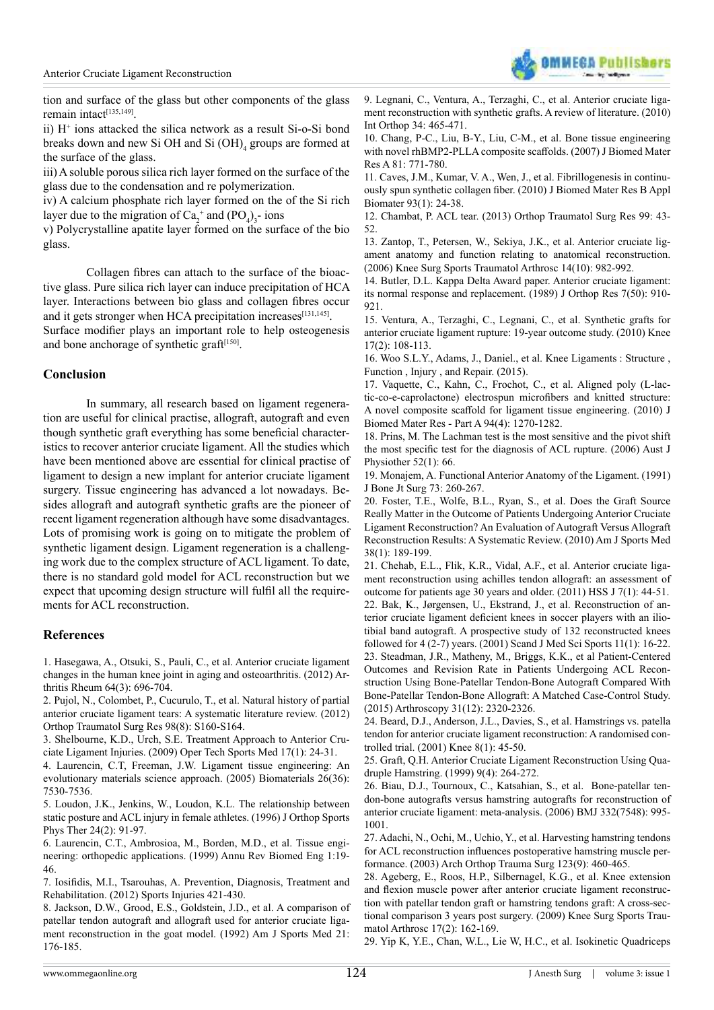

tion and surface of the glass but other components of the glass remain intact<sup>[\[135,149\]](#page-8-21)</sup>.

ii)  $H^+$  ions attacked the silica network as a result Si-o-Si bond breaks down and new Si OH and Si  $(OH)$ <sub>4</sub> groups are formed at the surface of the glass.

iii) A soluble porous silica rich layer formed on the surface of the glass due to the condensation and re polymerization.

iv) A calcium phosphate rich layer formed on the of the Si rich layer due to the migration of  $Ca_2^+$  and  $(PO_4)_3$ - ions

v) Polycrystalline apatite layer formed on the surface of the bio glass.

Collagen fibres can attach to the surface of the bioactive glass. Pure silica rich layer can induce precipitation of HCA layer. Interactions between bio glass and collagen fibres occur and it gets stronger when HCA precipitation increases<sup>[131,145]</sup>.

Surface modifier plays an important role to help osteogenesis and bone anchorage of synthetic graft<sup>[\[150\]](#page-8-22)</sup>.

#### **Conclusion**

 In summary, all research based on ligament regeneration are useful for clinical practise, allograft, autograft and even though synthetic graft everything has some beneficial characteristics to recover anterior cruciate ligament. All the studies which have been mentioned above are essential for clinical practise of ligament to design a new implant for anterior cruciate ligament surgery. Tissue engineering has advanced a lot nowadays. Besides allograft and autograft synthetic grafts are the pioneer of recent ligament regeneration although have some disadvantages. Lots of promising work is going on to mitigate the problem of synthetic ligament design. Ligament regeneration is a challenging work due to the complex structure of ACL ligament. To date, there is no standard gold model for ACL reconstruction but we expect that upcoming design structure will fulfil all the requirements for ACL reconstruction.

#### **References**

<span id="page-5-0"></span>[1. Hasegawa, A., Otsuki, S., Pauli, C., et al. Anterior cruciate ligament](http://www.ncbi.nlm.nih.gov/pubmed/22006159)  [changes in the human knee joint in aging and osteoarthritis. \(2012\) Ar](http://www.ncbi.nlm.nih.gov/pubmed/22006159)[thritis Rheum 64\(3\): 696-704.](http://www.ncbi.nlm.nih.gov/pubmed/22006159)

<span id="page-5-1"></span>[2. Pujol, N., Colombet, P., Cucurulo, T., et al. Natural history of partial](http://www.ncbi.nlm.nih.gov/pubmed/23153663)  [anterior cruciate ligament tears: A systematic literature review. \(2012\)](http://www.ncbi.nlm.nih.gov/pubmed/23153663)  [Orthop Traumatol Surg Res 98\(8\): S160-S164.](http://www.ncbi.nlm.nih.gov/pubmed/23153663) 

<span id="page-5-2"></span>[3. Shelbourne, K.D., Urch, S.E. Treatment Approach to Anterior Cru](http://www.optechsportsmed.com/article/S1060-1872(09)00026-4/abstract)[ciate Ligament Injuries. \(2009\) Oper Tech Sports Med 17\(1\): 24-31.](http://www.optechsportsmed.com/article/S1060-1872(09)00026-4/abstract) 

<span id="page-5-3"></span>[4. Laurencin, C.T, Freeman, J.W. Ligament tissue engineering: An](http://www.ncbi.nlm.nih.gov/pubmed/16045982)  [evolutionary materials science approach. \(2005\) Biomaterials 26\(36\):](http://www.ncbi.nlm.nih.gov/pubmed/16045982)  [7530-7536.](http://www.ncbi.nlm.nih.gov/pubmed/16045982) 

[5. Loudon, J.K., Jenkins, W., Loudon, K.L. The relationship between](http://www.ncbi.nlm.nih.gov/pubmed/8832472)  [static posture and ACL injury in female athletes. \(1996\) J Orthop Sports](http://www.ncbi.nlm.nih.gov/pubmed/8832472)  [Phys Ther 24\(2\): 91-97.](http://www.ncbi.nlm.nih.gov/pubmed/8832472) 

[6. Laurencin, C.T., Ambrosioa, M., Borden, M.D., et al. Tissue engi](http://www.ncbi.nlm.nih.gov/pubmed/11701481)[neering: orthopedic applications. \(1999\) Annu Rev Biomed Eng 1:19-](http://www.ncbi.nlm.nih.gov/pubmed/11701481) [46.](http://www.ncbi.nlm.nih.gov/pubmed/11701481) 

<span id="page-5-4"></span>7. Iosifidis, M.I., Tsarouhas, A. Prevention, Diagnosis, Treatment and [Rehabilitation. \(2012\) Sports Injuries 421-430.](http://www.springer.com/gp/book/9783642156304) 

[8. Jackson, D.W., Grood, E.S., Goldstein, J.D., et al. A comparison of](http://www.ncbi.nlm.nih.gov/pubmed/8465909)  [patellar tendon autograft and allograft used for anterior cruciate liga](http://www.ncbi.nlm.nih.gov/pubmed/8465909)[ment reconstruction in the goat model. \(1992\) Am J Sports Med 21:](http://www.ncbi.nlm.nih.gov/pubmed/8465909)  [176-185.](http://www.ncbi.nlm.nih.gov/pubmed/8465909) 

<span id="page-5-5"></span>[9. Legnani, C., Ventura, A., Terzaghi, C., et al. Anterior cruciate liga](http://www.ncbi.nlm.nih.gov/pmc/articles/PMC2903133/)[ment reconstruction with synthetic grafts. A review of literature. \(2010\)](http://www.ncbi.nlm.nih.gov/pmc/articles/PMC2903133/) [Int Orthop 34: 465-471.](http://www.ncbi.nlm.nih.gov/pmc/articles/PMC2903133/) 

<span id="page-5-6"></span>[10. Chang, P-C., Liu, B-Y., Liu, C-M., et al. Bone tissue engineering](http://www.ncbi.nlm.nih.gov/pubmed/17226806) [with novel rhBMP2-PLLA composite scafolds. \(2007\) J Biomed Mater](http://www.ncbi.nlm.nih.gov/pubmed/17226806) [Res A 81: 771-780.](http://www.ncbi.nlm.nih.gov/pubmed/17226806) 

<span id="page-5-7"></span>[11. Caves, J.M., Kumar, V. A., Wen, J., et al. Fibrillogenesis in continu](http://www.ncbi.nlm.nih.gov/pubmed/20024969)[ously spun synthetic collagen iber. \(2010\) J Biomed Mater Res B Appl](http://www.ncbi.nlm.nih.gov/pubmed/20024969) [Biomater 93\(1\): 24-38.](http://www.ncbi.nlm.nih.gov/pubmed/20024969) 

<span id="page-5-8"></span>[12. Chambat, P. ACL tear. \(2013\) Orthop Traumatol Surg Res 99: 43-](http://www.ncbi.nlm.nih.gov/pubmed/23333126) [52.](http://www.ncbi.nlm.nih.gov/pubmed/23333126)

<span id="page-5-9"></span>[13. Zantop, T., Petersen, W., Sekiya, J.K., et al. Anterior cruciate lig](http://www.ncbi.nlm.nih.gov/pubmed/16897068)[ament anatomy and function relating to anatomical reconstruction.](http://www.ncbi.nlm.nih.gov/pubmed/16897068) [\(2006\) Knee Surg Sports Traumatol Arthrosc 14\(10\): 982-992.](http://www.ncbi.nlm.nih.gov/pubmed/16897068) 

<span id="page-5-10"></span>[14. Butler, D.L. Kappa Delta Award paper. Anterior cruciate ligament:](http://www.ncbi.nlm.nih.gov/pubmed/2677288) [its normal response and replacement. \(1989\) J Orthop Res 7\(50\): 910-](http://www.ncbi.nlm.nih.gov/pubmed/2677288) [921.](http://www.ncbi.nlm.nih.gov/pubmed/2677288) 

[15. Ventura, A., Terzaghi, C., Legnani, C., et al. Synthetic grafts for](http://www.ncbi.nlm.nih.gov/pubmed/19720536) [anterior cruciate ligament rupture: 19-year outcome study. \(2010\) Knee](http://www.ncbi.nlm.nih.gov/pubmed/19720536) [17\(2\): 108-113.](http://www.ncbi.nlm.nih.gov/pubmed/19720536) 

<span id="page-5-11"></span>16. Woo S.L.Y., Adams, J., Daniel., et al. Knee Ligaments : Structure , Function , Injury , and Repair. (2015).

<span id="page-5-12"></span>[17. Vaquette, C., Kahn, C., Frochot, C., et al. Aligned poly \(L-lac](http://www.ncbi.nlm.nih.gov/pubmed/20694995)tic-co-e-caprolactone) electrospun microfibers and knitted structure: [A novel composite scafold for ligament tissue engineering. \(2010\) J](http://www.ncbi.nlm.nih.gov/pubmed/20694995) [Biomed Mater Res - Part A 94\(4\): 1270-1282.](http://www.ncbi.nlm.nih.gov/pubmed/20694995) 

<span id="page-5-13"></span>[18. Prins, M. The Lachman test is the most sensitive and the pivot shift](http://www.ncbi.nlm.nih.gov/pubmed/16555409) the most specific test for the diagnosis of ACL rupture. (2006) Aust J [Physiother 52\(1\): 66.](http://www.ncbi.nlm.nih.gov/pubmed/16555409)

<span id="page-5-14"></span>19. Monajem, A. Functional Anterior Anatomy of the Ligament. (1991) J Bone Jt Surg 73: 260-267.

<span id="page-5-15"></span>[20. Foster, T.E., Wolfe, B.L., Ryan, S., et al. Does the Graft Source](http://www.ncbi.nlm.nih.gov/pubmed/20051509) [Really Matter in the Outcome of Patients Undergoing Anterior Cruciate](http://www.ncbi.nlm.nih.gov/pubmed/20051509) [Ligament Reconstruction? An Evaluation of Autograft Versus Allograft](http://www.ncbi.nlm.nih.gov/pubmed/20051509) [Reconstruction Results: A Systematic Review. \(2010\) Am J Sports Med](http://www.ncbi.nlm.nih.gov/pubmed/20051509) [38\(1\): 189-199.](http://www.ncbi.nlm.nih.gov/pubmed/20051509) 

<span id="page-5-17"></span><span id="page-5-16"></span>[21. Chehab, E.L., Flik, K.R., Vidal, A.F., et al. Anterior cruciate liga](http://www.ncbi.nlm.nih.gov/pubmed/22294957)[ment reconstruction using achilles tendon allograft: an assessment of](http://www.ncbi.nlm.nih.gov/pubmed/22294957) [outcome for patients age 30 years and older. \(2011\) HSS J 7\(1\): 44-51.](http://www.ncbi.nlm.nih.gov/pubmed/22294957)  [22. Bak, K., Jørgensen, U., Ekstrand, J., et al. Reconstruction of an](http://www.ncbi.nlm.nih.gov/pubmed/11169230)terior cruciate ligament deficient knees in soccer players with an ilio[tibial band autograft. A prospective study of 132 reconstructed knees](http://www.ncbi.nlm.nih.gov/pubmed/11169230) [followed for 4 \(2-7\) years. \(2001\) Scand J Med Sci Sports 11\(1\): 16-22.](http://www.ncbi.nlm.nih.gov/pubmed/11169230) [23. Steadman, J.R., Matheny, M., Briggs, K.K., et al Patient-Centered](http://www.ncbi.nlm.nih.gov/pubmed/26276092) [Outcomes and Revision Rate in Patients Undergoing ACL Recon](http://www.ncbi.nlm.nih.gov/pubmed/26276092)[struction Using Bone-Patellar Tendon-Bone Autograft Compared With](http://www.ncbi.nlm.nih.gov/pubmed/26276092) [Bone-Patellar Tendon-Bone Allograft: A Matched Case-Control Study.](http://www.ncbi.nlm.nih.gov/pubmed/26276092) [\(2015\) Arthroscopy 31\(12\): 2320-2326.](http://www.ncbi.nlm.nih.gov/pubmed/26276092)

<span id="page-5-18"></span>[24. Beard, D.J., Anderson, J.L., Davies, S., et al. Hamstrings vs. patella](http://www.ncbi.nlm.nih.gov/pubmed/11248568) [tendon for anterior cruciate ligament reconstruction: A randomised con](http://www.ncbi.nlm.nih.gov/pubmed/11248568)[trolled trial. \(2001\) Knee 8\(1\): 45-50.](http://www.ncbi.nlm.nih.gov/pubmed/11248568) 

25. Graft, Q.H. Anterior Cruciate Ligament Reconstruction Using Quadruple Hamstring. (1999) 9(4): 264-272.

<span id="page-5-19"></span>[26. Biau, D.J., Tournoux, C., Katsahian, S., et al. Bone-patellar ten](http://www.ncbi.nlm.nih.gov/pmc/articles/PMC1450040/)[don-bone autografts versus hamstring autografts for reconstruction of](http://www.ncbi.nlm.nih.gov/pmc/articles/PMC1450040/) [anterior cruciate ligament: meta-analysis. \(2006\) BMJ 332\(7548\): 995-](http://www.ncbi.nlm.nih.gov/pmc/articles/PMC1450040/) [1001.](http://www.ncbi.nlm.nih.gov/pmc/articles/PMC1450040/) 

<span id="page-5-20"></span>[27. Adachi, N., Ochi, M., Uchio, Y., et al. Harvesting hamstring tendons](http://www.ncbi.nlm.nih.gov/pubmed/12920536) for ACL reconstruction influences postoperative hamstring muscle per[formance. \(2003\) Arch Orthop Trauma Surg 123\(9\): 460-465.](http://www.ncbi.nlm.nih.gov/pubmed/12920536) 

[28. Ageberg, E., Roos, H.P., Silbernagel, K.G., et al. Knee extension](http://www.ncbi.nlm.nih.gov/pubmed/18982311) and flexion muscle power after anterior cruciate ligament reconstruc[tion with patellar tendon graft or hamstring tendons graft: A cross-sec](http://www.ncbi.nlm.nih.gov/pubmed/18982311)[tional comparison 3 years post surgery. \(2009\) Knee Surg Sports Trau](http://www.ncbi.nlm.nih.gov/pubmed/18982311)[matol Arthrosc 17\(2\): 162-169.](http://www.ncbi.nlm.nih.gov/pubmed/18982311) 

[29. Yip K, Y.E., Chan, W.L., Lie W, H.C., et al. Isokinetic Quadriceps](http://www.sciencedirect.com/science/article/pii/S2210491713000250?np=y)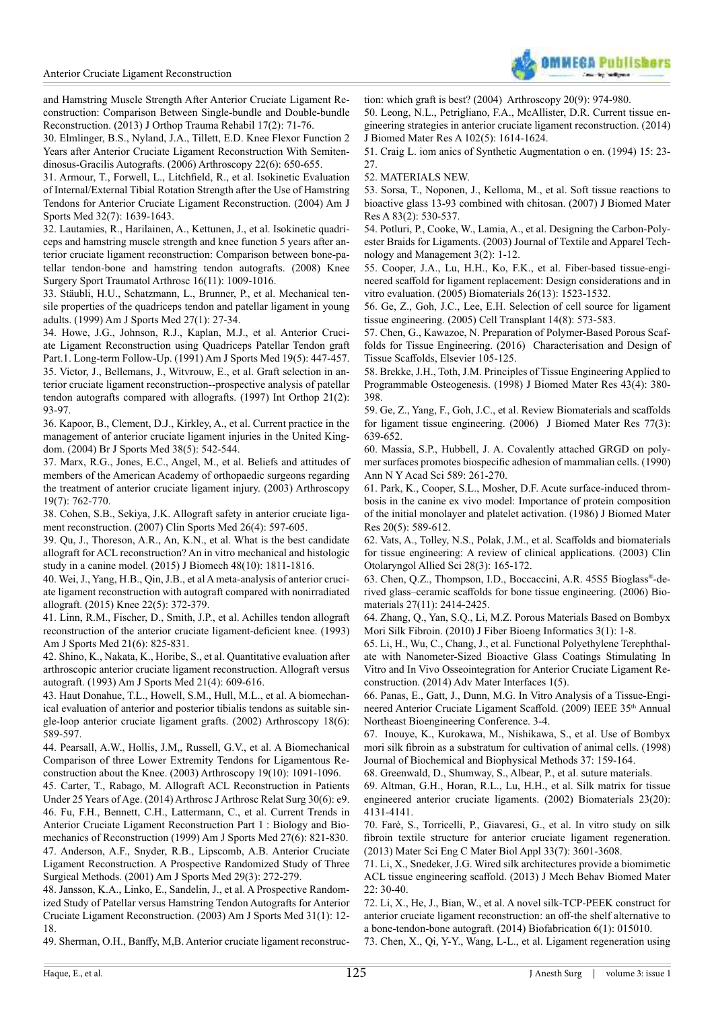

[and Hamstring Muscle Strength After Anterior Cruciate Ligament Re](http://www.sciencedirect.com/science/article/pii/S2210491713000250?np=y)[construction: Comparison Between Single-bundle and Double-bundle](http://www.sciencedirect.com/science/article/pii/S2210491713000250?np=y)  [Reconstruction. \(2013\) J Orthop Trauma Rehabil 17\(2\): 71-76.](http://www.sciencedirect.com/science/article/pii/S2210491713000250?np=y) 

[30. Elmlinger, B.S., Nyland, J.A., Tillett, E.D. Knee Flexor Function 2](http://www.ncbi.nlm.nih.gov/pubmed/16762704)  [Years after Anterior Cruciate Ligament Reconstruction With Semiten](http://www.ncbi.nlm.nih.gov/pubmed/16762704)[dinosus-Gracilis Autografts. \(2006\) Arthroscopy 22\(6\): 650-655.](http://www.ncbi.nlm.nih.gov/pubmed/16762704) 

<span id="page-6-0"></span>[31. Armour, T., Forwell, L., Litchield, R., et al. Isokinetic Evaluation](http://www.ncbi.nlm.nih.gov/pubmed/15494327)  [of Internal/External Tibial Rotation Strength after the Use of Hamstring](http://www.ncbi.nlm.nih.gov/pubmed/15494327)  [Tendons for Anterior Cruciate Ligament Reconstruction. \(2004\) Am J](http://www.ncbi.nlm.nih.gov/pubmed/15494327)  [Sports Med 32\(7\): 1639-1643.](http://www.ncbi.nlm.nih.gov/pubmed/15494327) 

<span id="page-6-1"></span>[32. Lautamies, R., Harilainen, A., Kettunen, J., et al. Isokinetic quadri](http://www.ncbi.nlm.nih.gov/pubmed/18712355http://)[ceps and hamstring muscle strength and knee function 5 years after an](http://www.ncbi.nlm.nih.gov/pubmed/18712355http://)[terior cruciate ligament reconstruction: Comparison between bone-pa](http://www.ncbi.nlm.nih.gov/pubmed/18712355http://)[tellar tendon-bone and hamstring tendon autografts. \(2008\) Knee](http://www.ncbi.nlm.nih.gov/pubmed/18712355http://)  [Surgery Sport Traumatol Arthrosc 16\(11\): 1009-1016.](http://www.ncbi.nlm.nih.gov/pubmed/18712355http://) 

<span id="page-6-2"></span>[33. Stäubli, H.U., Schatzmann, L., Brunner, P., et al. Mechanical ten](http://www.ncbi.nlm.nih.gov/pubmed/9934415)[sile properties of the quadriceps tendon and patellar ligament in young](http://www.ncbi.nlm.nih.gov/pubmed/9934415)  [adults. \(1999\) Am J Sports Med 27\(1\): 27-34.](http://www.ncbi.nlm.nih.gov/pubmed/9934415)

<span id="page-6-4"></span><span id="page-6-3"></span>[34. Howe, J.G., Johnson, R.J., Kaplan, M.J., et al. Anterior Cruci](http://www.ncbi.nlm.nih.gov/pubmed/1962708)[ate Ligament Reconstruction using Quadriceps Patellar Tendon graft](http://www.ncbi.nlm.nih.gov/pubmed/1962708)  [Part.1. Long-term Follow-Up. \(1991\) Am J Sports Med 19\(5\): 447-457.](http://www.ncbi.nlm.nih.gov/pubmed/1962708)  [35. Victor, J., Bellemans, J., Witvrouw, E., et al. Graft selection in an](http://www.ncbi.nlm.nih.gov/pubmed/9195261)[terior cruciate ligament reconstruction--prospective analysis of patellar](http://www.ncbi.nlm.nih.gov/pubmed/9195261)  [tendon autografts compared with allografts. \(1997\) Int Orthop 21\(2\):](http://www.ncbi.nlm.nih.gov/pubmed/9195261)  [93-97.](http://www.ncbi.nlm.nih.gov/pubmed/9195261) 

<span id="page-6-5"></span>[36. Kapoor, B., Clement, D.J., Kirkley, A., et al. Current practice in the](http://www.ncbi.nlm.nih.gov/pubmed/15388535)  [management of anterior cruciate ligament injuries in the United King](http://www.ncbi.nlm.nih.gov/pubmed/15388535)[dom. \(2004\) Br J Sports Med 38\(5\): 542-544.](http://www.ncbi.nlm.nih.gov/pubmed/15388535) 

[37. Marx, R.G., Jones, E.C., Angel, M., et al. Beliefs and attitudes of](http://www.ncbi.nlm.nih.gov/pubmed/12966385)  [members of the American Academy of orthopaedic surgeons regarding](http://www.ncbi.nlm.nih.gov/pubmed/12966385)  [the treatment of anterior cruciate ligament injury. \(2003\) Arthroscopy](http://www.ncbi.nlm.nih.gov/pubmed/12966385)  [19\(7\): 762-770.](http://www.ncbi.nlm.nih.gov/pubmed/12966385) 

<span id="page-6-6"></span>[38. Cohen, S.B., Sekiya, J.K. Allograft safety in anterior cruciate liga](http://www.ncbi.nlm.nih.gov/pubmed/17920955)[ment reconstruction. \(2007\) Clin Sports Med 26\(4\): 597-605.](http://www.ncbi.nlm.nih.gov/pubmed/17920955) 

<span id="page-6-7"></span>[39. Qu, J., Thoreson, A.R., An, K.N., et al. What is the best candidate](http://www.ncbi.nlm.nih.gov/pubmed/25981102)  [allograft for ACL reconstruction? An in vitro mechanical and histologic](http://www.ncbi.nlm.nih.gov/pubmed/25981102)  [study in a canine model. \(2015\) J Biomech 48\(10\): 1811-1816.](http://www.ncbi.nlm.nih.gov/pubmed/25981102) 

[40. Wei, J., Yang, H.B., Qin, J.B., et al A meta-analysis of anterior cruci](http://www.ncbi.nlm.nih.gov/pubmed/25991542)[ate ligament reconstruction with autograft compared with nonirradiated](http://www.ncbi.nlm.nih.gov/pubmed/25991542)  [allograft. \(2015\) Knee 22\(5\): 372-379.](http://www.ncbi.nlm.nih.gov/pubmed/25991542) 

[41. Linn, R.M., Fischer, D., Smith, J.P., et al. Achilles tendon allograft](http://www.ncbi.nlm.nih.gov/pubmed/8291633)  reconstruction of the anterior cruciate ligament-deficient knee. (1993) [Am J Sports Med 21\(6\): 825-831.](http://www.ncbi.nlm.nih.gov/pubmed/8291633) 

<span id="page-6-8"></span>[42. Shino, K., Nakata, K., Horibe, S., et al. Quantitative evaluation after](http://www.ncbi.nlm.nih.gov/pubmed/8368425)  [arthroscopic anterior cruciate ligament reconstruction. Allograft versus](http://www.ncbi.nlm.nih.gov/pubmed/8368425)  [autograft. \(1993\) Am J Sports Med 21\(4\): 609-616.](http://www.ncbi.nlm.nih.gov/pubmed/8368425) 

<span id="page-6-9"></span>[43. Haut Donahue, T.L., Howell, S.M., Hull, M.L., et al. A biomechan](http://www.ncbi.nlm.nih.gov/pubmed/12098119)[ical evaluation of anterior and posterior tibialis tendons as suitable sin](http://www.ncbi.nlm.nih.gov/pubmed/12098119)[gle-loop anterior cruciate ligament grafts. \(2002\) Arthroscopy 18\(6\):](http://www.ncbi.nlm.nih.gov/pubmed/12098119)  [589-597.](http://www.ncbi.nlm.nih.gov/pubmed/12098119) 

[44. Pearsall, A.W., Hollis, J.M,, Russell, G.V., et al. A Biomechanical](http://www.ncbi.nlm.nih.gov/pubmed/14673451)  [Comparison of three Lower Extremity Tendons for Ligamentous Re](http://www.ncbi.nlm.nih.gov/pubmed/14673451)[construction about the Knee. \(2003\) Arthroscopy 19\(10\): 1091-1096.](http://www.ncbi.nlm.nih.gov/pubmed/14673451) 

<span id="page-6-11"></span><span id="page-6-10"></span>[45. Carter, T., Rabago, M. Allograft ACL Reconstruction in Patients](http://www.arthroscopyjournal.org/article/S0749-8063(14)00302-8/abstract)  [Under 25 Years of Age. \(2014\) Arthrosc J Arthrosc Relat Surg 30\(6\): e9.](http://www.arthroscopyjournal.org/article/S0749-8063(14)00302-8/abstract)  [46. Fu, F.H., Bennett, C.H., Lattermann, C., et al. Current Trends in](http://www.ncbi.nlm.nih.gov/pubmed/10569374)  [Anterior Cruciate Ligament Reconstruction Part 1 : Biology and Bio](http://www.ncbi.nlm.nih.gov/pubmed/10569374)[mechanics of Reconstruction \(1999\) Am J Sports Med 27\(6\): 821-830.](http://www.ncbi.nlm.nih.gov/pubmed/10569374) [47. Anderson, A.F., Snyder, R.B., Lipscomb, A.B. Anterior Cruciate](http://www.ncbi.nlm.nih.gov/pubmed/11394593)  [Ligament Reconstruction. A Prospective Randomized Study of Three](http://www.ncbi.nlm.nih.gov/pubmed/11394593)  [Surgical Methods. \(2001\) Am J Sports Med 29\(3\): 272-279.](http://www.ncbi.nlm.nih.gov/pubmed/11394593)

<span id="page-6-13"></span><span id="page-6-12"></span>[48. Jansson, K.A., Linko, E., Sandelin, J., et al. A Prospective Random](http://www.ncbi.nlm.nih.gov/pubmed/12531751)[ized Study of Patellar versus Hamstring Tendon Autografts for Anterior](http://www.ncbi.nlm.nih.gov/pubmed/12531751)  [Cruciate Ligament Reconstruction. \(2003\) Am J Sports Med 31\(1\): 12-](http://www.ncbi.nlm.nih.gov/pubmed/12531751) [18.](http://www.ncbi.nlm.nih.gov/pubmed/12531751)

<span id="page-6-14"></span>[49. Sherman, O.H., Banfy, M,B. Anterior cruciate ligament reconstruc](http://www.ncbi.nlm.nih.gov/pubmed/15525931)-

[tion: which graft is best? \(2004\) Arthroscopy 20\(9\): 974-980.](http://www.ncbi.nlm.nih.gov/pubmed/15525931) 

<span id="page-6-15"></span>[50. Leong, N.L., Petrigliano, F.A., McAllister, D.R. Current tissue en](http://www.ncbi.nlm.nih.gov/pubmed/23737190)[gineering strategies in anterior cruciate ligament reconstruction. \(2014\)](http://www.ncbi.nlm.nih.gov/pubmed/23737190) [J Biomed Mater Res A 102\(5\): 1614-1624.](http://www.ncbi.nlm.nih.gov/pubmed/23737190) 

51. Craig L. iom anics of Synthetic Augmentation o en. (1994) 15: 23- 27.

<span id="page-6-16"></span>52. MATERIALS NEW.

<span id="page-6-17"></span>[53. Sorsa, T., Noponen, J., Kelloma, M., et al. Soft tissue reactions to](http://www.ncbi.nlm.nih.gov/pubmed/17508414) [bioactive glass 13-93 combined with chitosan. \(2007\) J Biomed Mater](http://www.ncbi.nlm.nih.gov/pubmed/17508414) [Res A 83\(2\): 530-537.](http://www.ncbi.nlm.nih.gov/pubmed/17508414)

<span id="page-6-18"></span>[54. Potluri, P., Cooke, W., Lamia, A., et al. Designing the Carbon-Poly](https://www.researchgate.net/publication/242186663_DESIGNING_CARBON-POLYESTER_BRAIDS_FOR_LIGAMENTS)[ester Braids for Ligaments. \(2003\) Journal of Textile and Apparel Tech](https://www.researchgate.net/publication/242186663_DESIGNING_CARBON-POLYESTER_BRAIDS_FOR_LIGAMENTS)[nology and Management 3\(2\): 1-12.](https://www.researchgate.net/publication/242186663_DESIGNING_CARBON-POLYESTER_BRAIDS_FOR_LIGAMENTS) 

<span id="page-6-19"></span>[55. Cooper, J.A., Lu, H.H., Ko, F.K., et al. Fiber-based tissue-engi](http://www.ncbi.nlm.nih.gov/pubmed/15522754)[neered scafold for ligament replacement: Design considerations and in](http://www.ncbi.nlm.nih.gov/pubmed/15522754) [vitro evaluation. \(2005\) Biomaterials 26\(13\): 1523-1532.](http://www.ncbi.nlm.nih.gov/pubmed/15522754) 

<span id="page-6-20"></span>[56. Ge, Z., Goh, J.C., Lee, E.H. Selection of cell source for ligament](http://www.ncbi.nlm.nih.gov/pubmed/16355566) [tissue engineering. \(2005\) Cell Transplant 14\(8\): 573-583.](http://www.ncbi.nlm.nih.gov/pubmed/16355566)

<span id="page-6-21"></span>[57. Chen, G., Kawazoe, N. Preparation of Polymer-Based Porous Scaf](https://translate.googleusercontent.com/translate_c?depth=1&hl=en&prev=search&rurl=translate.google.co.in&sl=ja&u=http://www.sciencedirect.com/science/article/pii/B9781782420873000055&usg=ALkJrhjph6AjtKgJxTSykH1s3b83Y0aTcA)[folds for Tissue Engineering. \(2016\) Characterisation and Design of](https://translate.googleusercontent.com/translate_c?depth=1&hl=en&prev=search&rurl=translate.google.co.in&sl=ja&u=http://www.sciencedirect.com/science/article/pii/B9781782420873000055&usg=ALkJrhjph6AjtKgJxTSykH1s3b83Y0aTcA) [Tissue Scafolds, Elsevier 105-125.](https://translate.googleusercontent.com/translate_c?depth=1&hl=en&prev=search&rurl=translate.google.co.in&sl=ja&u=http://www.sciencedirect.com/science/article/pii/B9781782420873000055&usg=ALkJrhjph6AjtKgJxTSykH1s3b83Y0aTcA) 

[58. Brekke, J.H., Toth, J.M. Principles of Tissue Engineering Applied to](http://www.ncbi.nlm.nih.gov/pubmed/9855197) [Programmable Osteogenesis. \(1998\) J Biomed Mater Res 43\(4\): 380-](http://www.ncbi.nlm.nih.gov/pubmed/9855197) [398.](http://www.ncbi.nlm.nih.gov/pubmed/9855197)

<span id="page-6-22"></span>[59. Ge, Z., Yang, F., Goh, J.C., et al. Review Biomaterials and scafolds](http://www.ncbi.nlm.nih.gov/pubmed/16550538) [for ligament tissue engineering. \(2006\) J Biomed Mater Res 77\(3\):](http://www.ncbi.nlm.nih.gov/pubmed/16550538) [639-652.](http://www.ncbi.nlm.nih.gov/pubmed/16550538)

<span id="page-6-23"></span>[60. Massia, S.P., Hubbell, J. A. Covalently attached GRGD on poly](http://www.ncbi.nlm.nih.gov/pubmed/2141461)[mer surfaces promotes biospeciic adhesion of mammalian cells. \(1990\)](http://www.ncbi.nlm.nih.gov/pubmed/2141461) [Ann N Y Acad Sci 589: 261-270.](http://www.ncbi.nlm.nih.gov/pubmed/2141461) 

<span id="page-6-24"></span>[61. Park, K., Cooper, S.L., Mosher, D.F. Acute surface-induced throm](http://www.ncbi.nlm.nih.gov/pubmed/3711136)[bosis in the canine ex vivo model: Importance of protein composition](http://www.ncbi.nlm.nih.gov/pubmed/3711136) [of the initial monolayer and platelet activation. \(1986\) J Biomed Mater](http://www.ncbi.nlm.nih.gov/pubmed/3711136) [Res 20\(5\): 589-612.](http://www.ncbi.nlm.nih.gov/pubmed/3711136)

<span id="page-6-25"></span>[62. Vats, A., Tolley, N.S., Polak, J.M., et al. Scafolds and biomaterials](http://www.ncbi.nlm.nih.gov/pubmed/12755749) [for tissue engineering: A review of clinical applications. \(2003\) Clin](http://www.ncbi.nlm.nih.gov/pubmed/12755749) [Otolaryngol Allied Sci 28\(3\): 165-172.](http://www.ncbi.nlm.nih.gov/pubmed/12755749) 

[63. Chen, Q.Z., Thompson, I.D., Boccaccini, A.R. 45S5 Bioglass](http://www.ncbi.nlm.nih.gov/pubmed/16336997)® -de[rived glass–ceramic scafolds for bone tissue engineering. \(2006\) Bio](http://www.ncbi.nlm.nih.gov/pubmed/16336997)[materials 27\(11\): 2414-2425.](http://www.ncbi.nlm.nih.gov/pubmed/16336997) 

<span id="page-6-26"></span>[64. Zhang, Q., Yan, S.Q., Li, M.Z. Porous Materials Based on Bombyx](http://www.global-sci.org/jfbi/issues/v3n1/pdf/JFBI-3.1.1.pdf) [Mori Silk Fibroin. \(2010\) J Fiber Bioeng Informatics 3\(1\): 1-8.](http://www.global-sci.org/jfbi/issues/v3n1/pdf/JFBI-3.1.1.pdf) 

[65. Li, H., Wu, C., Chang, J., et al. Functional Polyethylene Terephthal](http://onlinelibrary.wiley.com/doi/10.1002/admi.201400027/abstract)[ate with Nanometer-Sized Bioactive Glass Coatings Stimulating In](http://onlinelibrary.wiley.com/doi/10.1002/admi.201400027/abstract) [Vitro and In Vivo Osseointegration for Anterior Cruciate Ligament Re](http://onlinelibrary.wiley.com/doi/10.1002/admi.201400027/abstract)[construction. \(2014\) Adv Mater Interfaces 1\(5\).](http://onlinelibrary.wiley.com/doi/10.1002/admi.201400027/abstract) 

<span id="page-6-27"></span>[66. Panas, E., Gatt, J., Dunn, M.G. In Vitro Analysis of a Tissue-Engi](http://ieeexplore.ieee.org/xpl/login.jsp?tp=&arnumber=4967661&url=http%3A%2F%2Fieeexplore.ieee.org%2Fiel5%2F4912738%2F4967618%2F04967661.pdf%3Farnumber%3D4967661)neered Anterior Cruciate Ligament Scaffold. (2009) IEEE 35<sup>th</sup> Annual [Northeast Bioengineering Conference. 3-4.](http://ieeexplore.ieee.org/xpl/login.jsp?tp=&arnumber=4967661&url=http%3A%2F%2Fieeexplore.ieee.org%2Fiel5%2F4912738%2F4967618%2F04967661.pdf%3Farnumber%3D4967661)

[67. Inouye, K., Kurokawa, M., Nishikawa, S., et al. Use of Bombyx](http://www.sciencedirect.com/science/article/pii/S0165022X98000244) mori silk fibroin as a substratum for cultivation of animal cells. (1998) [Journal of Biochemical and Biophysical Methods 37: 159-164.](http://www.sciencedirect.com/science/article/pii/S0165022X98000244)

<span id="page-6-28"></span>68. Greenwald, D., Shumway, S., Albear, P., et al. suture materials.

<span id="page-6-29"></span>[69. Altman, G.H., Horan, R.L., Lu, H.H., et al. Silk matrix for tissue](http://www.sciencedirect.com/science/article/pii/S0142961202001564) [engineered anterior cruciate ligaments. \(2002\) Biomaterials 23\(20\):](http://www.sciencedirect.com/science/article/pii/S0142961202001564) [4131-4141.](http://www.sciencedirect.com/science/article/pii/S0142961202001564)

<span id="page-6-30"></span>[70. Farè, S., Torricelli, P., Giavaresi, G., et al. In vitro study on silk](http://www.sciencedirect.com/science/article/pii/S0928493113002415) f[ibroin textile structure for anterior cruciate ligament regeneration.](http://www.sciencedirect.com/science/article/pii/S0928493113002415) [\(2013\) Mater Sci Eng C Mater Biol Appl 33\(7\): 3601-3608.](http://www.sciencedirect.com/science/article/pii/S0928493113002415) 

[71. Li, X., Snedeker, J.G. Wired silk architectures provide a biomimetic](http://www.ncbi.nlm.nih.gov/pubmed/23629046) [ACL tissue engineering scafold. \(2013\) J Mech Behav Biomed Mater](http://www.ncbi.nlm.nih.gov/pubmed/23629046)  $22 \cdot 30 - 40$ 

<span id="page-6-31"></span>[72. Li, X., He, J., Bian, W., et al. A novel silk-TCP-PEEK construct for](http://www.ncbi.nlm.nih.gov/pubmed/24589912) anterior cruciate ligament reconstruction: an off-the shelf alternative to [a bone-tendon-bone autograft. \(2014\) Biofabrication 6\(1\): 015010.](http://www.ncbi.nlm.nih.gov/pubmed/24589912) 

<span id="page-6-32"></span>[73. Chen, X., Qi, Y-Y., Wang, L-L., et al. Ligament regeneration using](http://www.ncbi.nlm.nih.gov/pubmed/18541295)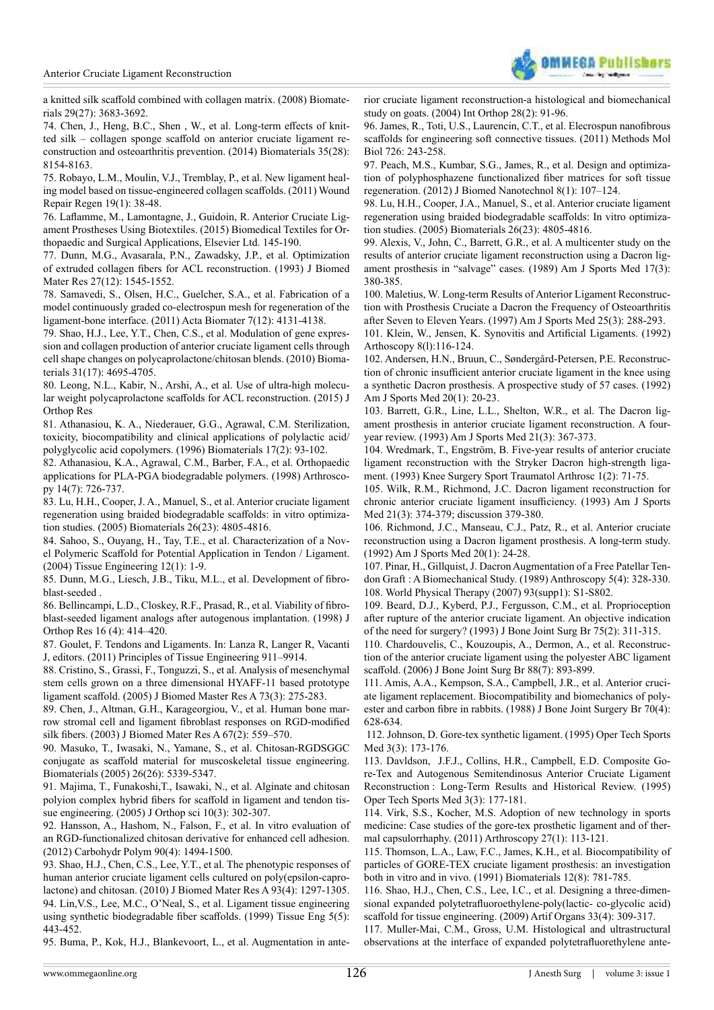

[a knitted silk scafold combined with collagen matrix. \(2008\) Biomate](http://www.ncbi.nlm.nih.gov/pubmed/18541295)[rials 29\(27\): 3683-3692.](http://www.ncbi.nlm.nih.gov/pubmed/18541295) 

<span id="page-7-0"></span>[74. Chen, J., Heng, B.C., Shen , W., et al. Long-term efects of knit](http://www.ncbi.nlm.nih.gov/pubmed/24974007)[ted silk – collagen sponge scafold on anterior cruciate ligament re](http://www.ncbi.nlm.nih.gov/pubmed/24974007)[construction and osteoarthritis prevention. \(2014\) Biomaterials 35\(28\):](http://www.ncbi.nlm.nih.gov/pubmed/24974007)  [8154-8163.](http://www.ncbi.nlm.nih.gov/pubmed/24974007)

<span id="page-7-1"></span>[75. Robayo, L.M., Moulin, V.J., Tremblay, P., et al. New ligament heal](http://www.ncbi.nlm.nih.gov/pubmed/21143691)[ing model based on tissue-engineered collagen scafolds. \(2011\) Wound](http://www.ncbi.nlm.nih.gov/pubmed/21143691)  [Repair Regen 19\(1\): 38-48.](http://www.ncbi.nlm.nih.gov/pubmed/21143691) 

<span id="page-7-2"></span>[76. Lalamme, M., Lamontagne, J., Guidoin, R. Anterior Cruciate Lig](http://www.sciencedirect.com/science/article/pii/B9781782420170000076)[ament Prostheses Using Biotextiles. \(2015\) Biomedical Textiles for Or](http://www.sciencedirect.com/science/article/pii/B9781782420170000076)[thopaedic and Surgical Applications, Elsevier Ltd. 145-190.](http://www.sciencedirect.com/science/article/pii/B9781782420170000076) 

<span id="page-7-3"></span>[77. Dunn, M.G., Avasarala, P.N., Zawadsky, J.P., et al. Optimization](http://www.ncbi.nlm.nih.gov/pubmed/8113242)  [of extruded collagen ibers for ACL reconstruction. \(1993\) J Biomed](http://www.ncbi.nlm.nih.gov/pubmed/8113242)  [Mater Res 27\(12\): 1545-1552.](http://www.ncbi.nlm.nih.gov/pubmed/8113242)

<span id="page-7-4"></span>[78. Samavedi, S., Olsen, H.C., Guelcher, S.A., et al. Fabrication of a](http://www.ncbi.nlm.nih.gov/pubmed/21791254)  [model continuously graded co-electrospun mesh for regeneration of the](http://www.ncbi.nlm.nih.gov/pubmed/21791254)  [ligament-bone interface. \(2011\) Acta Biomater 7\(12\): 4131-4138.](http://www.ncbi.nlm.nih.gov/pubmed/21791254) 

<span id="page-7-5"></span>[79. Shao, H.J., Lee, Y.T., Chen, C.S., et al. Modulation of gene expres](http://www.ncbi.nlm.nih.gov/pubmed/20304482)[sion and collagen production of anterior cruciate ligament cells through](http://www.ncbi.nlm.nih.gov/pubmed/20304482)  [cell shape changes on polycaprolactone/chitosan blends. \(2010\) Bioma](http://www.ncbi.nlm.nih.gov/pubmed/20304482)[terials 31\(17\): 4695-4705.](http://www.ncbi.nlm.nih.gov/pubmed/20304482) 

<span id="page-7-6"></span>[80. Leong, N.L., Kabir, N., Arshi, A., et al. Use of ultra-high molecu](http://www.ncbi.nlm.nih.gov/pubmed/26497133)[lar weight polycaprolactone scafolds for ACL reconstruction. \(2015\) J](http://www.ncbi.nlm.nih.gov/pubmed/26497133)  [Orthop Res](http://www.ncbi.nlm.nih.gov/pubmed/26497133)

<span id="page-7-7"></span>[81. Athanasiou, K. A., Niederauer, G.G., Agrawal, C.M. Sterilization,](http://www.sciencedirect.com/science/article/pii/0142961296857541)  [toxicity, biocompatibility and clinical applications of polylactic acid/](http://www.sciencedirect.com/science/article/pii/0142961296857541) [polyglycolic acid copolymers. \(1996\) Biomaterials 17\(2\): 93-102.](http://www.sciencedirect.com/science/article/pii/0142961296857541) 

<span id="page-7-8"></span>[82. Athanasiou, K.A., Agrawal, C.M., Barber, F.A., et al. Orthopaedic](http://www.ncbi.nlm.nih.gov/pubmed/9788368)  [applications for PLA-PGA biodegradable polymers. \(1998\) Arthrosco](http://www.ncbi.nlm.nih.gov/pubmed/9788368)[py 14\(7\): 726-737.](http://www.ncbi.nlm.nih.gov/pubmed/9788368) 

<span id="page-7-9"></span>[83. Lu, H.H., Cooper, J. A., Manuel, S., et al. Anterior cruciate ligament](http://www.ncbi.nlm.nih.gov/pubmed/15763260)  [regeneration using braided biodegradable scafolds: in vitro optimiza](http://www.ncbi.nlm.nih.gov/pubmed/15763260)[tion studies. \(2005\) Biomaterials 26\(23\): 4805-4816.](http://www.ncbi.nlm.nih.gov/pubmed/15763260) 

<span id="page-7-10"></span>[84. Sahoo, S., Ouyang, H., Tay, T.E., et al. Characterization of a Nov](http://www.ncbi.nlm.nih.gov/pubmed/16499446)[el Polymeric Scafold for Potential Application in Tendon / Ligament.](http://www.ncbi.nlm.nih.gov/pubmed/16499446)  [\(2004\) Tissue Engineering 12\(1\): 1-9.](http://www.ncbi.nlm.nih.gov/pubmed/16499446)

85. Dunn, M.G., Liesch, J.B., Tiku, M.L., et al. Development of ibroblast-seeded .

86. Bellincampi, L.D., Closkey, R.F., Prasad, R., et al. Viability of fibro[blast-seeded ligament analogs after autogenous implantation. \(1998\) J](http://www.ncbi.nlm.nih.gov/pubmed/9747781)  [Orthop Res 16 \(4\): 414–420.](http://www.ncbi.nlm.nih.gov/pubmed/9747781) 

87. Goulet, F. Tendons and Ligaments. In: Lanza R, Langer R, Vacanti J, editors. (2011) Principles of Tissue Engineering 911–9914.

[88. Cristino, S., Grassi, F., Tonguzzi, S., et al. Analysis of mesenchymal](http://www.ncbi.nlm.nih.gov/pubmed/15789422)  [stem cells grown on a three dimensional HYAFF-11 based prototype](http://www.ncbi.nlm.nih.gov/pubmed/15789422)  [ligament scafold. \(2005\) J Biomed Master Res A 73\(3\): 275-283.](http://www.ncbi.nlm.nih.gov/pubmed/15789422) 

[89. Chen, J., Altman, G.H., Karageorgiou, V., et al. Human bone mar](http://www.ncbi.nlm.nih.gov/pubmed/14566798)row stromal cell and ligament fibroblast responses on RGD-modified silk fibers. (2003) J Biomed Mater Res A 67(2): 559–570.

[90. Masuko, T., Iwasaki, N., Yamane, S., et al. Chitosan-RGDSGGC](http://www.ncbi.nlm.nih.gov/pubmed/15814132)  [conjugate as scafold material for muscoskeletal tissue engineering.](http://www.ncbi.nlm.nih.gov/pubmed/15814132)  [Biomaterials \(2005\) 26\(26\): 5339-5347.](http://www.ncbi.nlm.nih.gov/pubmed/15814132)

[91. Majima, T., Funakoshi,T., Isawaki, N., et al. Alginate and chitosan](http://www.ncbi.nlm.nih.gov/pubmed/15928894)  [polyion complex hybrid ibers for scafold in ligament and tendon tis](http://www.ncbi.nlm.nih.gov/pubmed/15928894)[sue engineering. \(2005\) J Orthop sci 10\(3\): 302-307.](http://www.ncbi.nlm.nih.gov/pubmed/15928894) 

[92. Hansson, A., Hashom, N., Falson, F., et al. In vitro evaluation of](http://www.ncbi.nlm.nih.gov/pubmed/22944407)  [an RGD-functionalized chitosan derivative for enhanced cell adhesion.](http://www.ncbi.nlm.nih.gov/pubmed/22944407)  [\(2012\) Carbohydr Polym 90\(4\): 1494-1500.](http://www.ncbi.nlm.nih.gov/pubmed/22944407) 

[93. Shao, H.J., Chen, C.S., Lee, Y.T., et al. The phenotypic responses of](http://www.ncbi.nlm.nih.gov/pubmed/19827113)  [human anterior cruciate ligament cells cultured on poly\(epsilon-capro](http://www.ncbi.nlm.nih.gov/pubmed/19827113)[lactone\) and chitosan. \(2010\) J Biomed Mater Res A 93\(4\): 1297-1305.](http://www.ncbi.nlm.nih.gov/pubmed/19827113)  [94. Lin,V.S., Lee, M.C., O'Neal, S., et al. Ligament tissue engineering](http://www.ncbi.nlm.nih.gov/pubmed/10586100)  using synthetic biodegradable fiber scaffolds. (1999) Tissue Eng 5(5): [443-452.](http://www.ncbi.nlm.nih.gov/pubmed/10586100) 

[95. Buma, P., Kok, H.J., Blankevoort, L., et al. Augmentation in ante-](http://www.ncbi.nlm.nih.gov/pubmed/15224166)

[rior cruciate ligament reconstruction-a histological and biomechanical](http://www.ncbi.nlm.nih.gov/pubmed/15224166) [study on goats. \(2004\) Int Orthop 28\(2\): 91-96.](http://www.ncbi.nlm.nih.gov/pubmed/15224166)

96. James, R., Toti, U.S., Laurencin, C.T., et al. Elecrospun nanofibrous [scafolds for engineering soft connective tissues. \(2011\) Methods Mol](http://www.ncbi.nlm.nih.gov/pubmed/21424454) [Biol 726: 243-258.](http://www.ncbi.nlm.nih.gov/pubmed/21424454) 

[97. Peach, M.S., Kumbar, S.G., James, R., et al. Design and optimiza](http://www.ncbi.nlm.nih.gov/pubmed/22515099)[tion of polyphosphazene functionalized iber matrices for soft tissue](http://www.ncbi.nlm.nih.gov/pubmed/22515099) [regeneration. \(2012\) J Biomed Nanotechnol 8\(1\): 107–124.](http://www.ncbi.nlm.nih.gov/pubmed/22515099) 

[98. Lu, H.H., Cooper, J.A., Manuel, S., et al. Anterior cruciate ligament](http://www.ncbi.nlm.nih.gov/pubmed/15763260) [regeneration using braided biodegradable scafolds: In vitro optimiza](http://www.ncbi.nlm.nih.gov/pubmed/15763260)[tion studies. \(2005\) Biomaterials 26\(23\): 4805-4816.](http://www.ncbi.nlm.nih.gov/pubmed/15763260)

[99. Alexis, V., John, C., Barrett, G.R., et al. A multicenter study on the](http://www.ncbi.nlm.nih.gov/pubmed/2524975) [results of anterior cruciate ligament reconstruction using a Dacron lig](http://www.ncbi.nlm.nih.gov/pubmed/2524975)[ament prosthesis in "salvage" cases. \(1989\) Am J Sports Med 17\(3\):](http://www.ncbi.nlm.nih.gov/pubmed/2524975) [380-385.](http://www.ncbi.nlm.nih.gov/pubmed/2524975)

<span id="page-7-11"></span>[100. Maletius, W. Long-term Results of Anterior Ligament Reconstruc](http://www.ncbi.nlm.nih.gov/pubmed/9167805)[tion with Prosthesis Cruciate a Dacron the Frequency of Osteoarthritis](http://www.ncbi.nlm.nih.gov/pubmed/9167805) [after Seven to Eleven Years. \(1997\) Am J Sports Med 25\(3\): 288-293.](http://www.ncbi.nlm.nih.gov/pubmed/9167805)

<span id="page-7-12"></span>101. Klein, W., Jensen, K. Synovitis and Artificial Ligaments. (1992) [Arthoscopy 8\(l\):116-124.](http://www.ncbi.nlm.nih.gov/pubmed/1532312)

<span id="page-7-13"></span>[102. Andersen, H.N., Bruun, C., Søndergård-Petersen, P.E. Reconstruc](http://www.ncbi.nlm.nih.gov/pubmed/1532478)tion of chronic insufficient anterior cruciate ligament in the knee using [a synthetic Dacron prosthesis. A prospective study of 57 cases. \(1992\)](http://www.ncbi.nlm.nih.gov/pubmed/1532478) [Am J Sports Med 20\(1\): 20-23.](http://www.ncbi.nlm.nih.gov/pubmed/1532478) 

[103. Barrett, G.R., Line, L.L., Shelton, W.R., et al. The Dacron lig](http://www.ncbi.nlm.nih.gov/pubmed/8346749)[ament prosthesis in anterior cruciate ligament reconstruction. A four](http://www.ncbi.nlm.nih.gov/pubmed/8346749)[year review. \(1993\) Am J Sports Med 21\(3\): 367-373.](http://www.ncbi.nlm.nih.gov/pubmed/8346749) 

[104. Wredmark, T., Engström, B. Five-year results of anterior cruciate](http://www.ncbi.nlm.nih.gov/pubmed/8536011) [ligament reconstruction with the Stryker Dacron high-strength liga](http://www.ncbi.nlm.nih.gov/pubmed/8536011)[ment. \(1993\) Knee Surgery Sport Traumatol Arthrosc 1\(2\): 71-75.](http://www.ncbi.nlm.nih.gov/pubmed/8536011) 

[105. Wilk, R.M., Richmond, J.C. Dacron ligament reconstruction for](http://www.ncbi.nlm.nih.gov/pubmed/8346750) chronic anterior cruciate ligament insufficiency. (1993) Am J Sports [Med 21\(3\): 374-379; discussion 379-380.](http://www.ncbi.nlm.nih.gov/pubmed/8346750) 

<span id="page-7-14"></span>[106. Richmond, J.C., Manseau, C.J., Patz, R., et al. Anterior cruciate](http://www.ncbi.nlm.nih.gov/pubmed/1532479) [reconstruction using a Dacron ligament prosthesis. A long-term study.](http://www.ncbi.nlm.nih.gov/pubmed/1532479) [\(1992\) Am J Sports Med 20\(1\): 24-28.](http://www.ncbi.nlm.nih.gov/pubmed/1532479) 

<span id="page-7-15"></span>[107. Pinar, H., Gillquist, J. Dacron Augmentation of a Free Patellar Ten](http://www.ncbi.nlm.nih.gov/pubmed/2531587)[don Graft : A Biomechanical Study. \(1989\) Anthroscopy 5\(4\): 328-330.](http://www.ncbi.nlm.nih.gov/pubmed/2531587) [108. World Physical Therapy \(2007\) 93\(supp1\): S1-S802.](http://www.physiotherapyjournal.com/article/S0031-9406(07)60001-7/abstract) 

<span id="page-7-17"></span><span id="page-7-16"></span>[109. Beard, D.J., Kyberd, P.J., Fergusson, C.M., et al. Proprioception](http://www.ncbi.nlm.nih.gov/pubmed/8444956) [after rupture of the anterior cruciate ligament. An objective indication](http://www.ncbi.nlm.nih.gov/pubmed/8444956) [of the need for surgery? \(1993\) J Bone Joint Surg Br 75\(2\): 311-315.](http://www.ncbi.nlm.nih.gov/pubmed/8444956)

<span id="page-7-18"></span>[110. Chardouvelis, C., Kouzoupis, A., Dermon, A., et al. Reconstruc](http://www.ncbi.nlm.nih.gov/pubmed/16798991)[tion of the anterior cruciate ligament using the polyester ABC ligament](http://www.ncbi.nlm.nih.gov/pubmed/16798991) [scafold. \(2006\) J Bone Joint Surg Br 88\(7\): 893-899.](http://www.ncbi.nlm.nih.gov/pubmed/16798991) 

[111. Amis, A.A., Kempson, S.A., Campbell, J.R., et al. Anterior cruci](http://www.ncbi.nlm.nih.gov/pubmed/3403613)[ate ligament replacement. Biocompatibility and biomechanics of poly](http://www.ncbi.nlm.nih.gov/pubmed/3403613)ester and carbon fibre in rabbits. (1988) J Bone Joint Surgery Br 70(4): [628-634.](http://www.ncbi.nlm.nih.gov/pubmed/3403613)

<span id="page-7-19"></span> [112. Johnson, D. Gore-tex synthetic ligament. \(1995\) Oper Tech Sports](http://www.sciencedirect.com/science/article/pii/S1060187295800069) [Med 3\(3\): 173-176.](http://www.sciencedirect.com/science/article/pii/S1060187295800069) 

<span id="page-7-20"></span>[113. Davldson, J.F.J., Collins, H.R., Campbell, E.D. Composite Go](http://www.sciencedirect.com/science/article/pii/S1060187295800077)[re-Tex and Autogenous Semitendinosus Anterior Cruciate Ligament](http://www.sciencedirect.com/science/article/pii/S1060187295800077) [Reconstruction : Long-Term Results and Historical Review. \(1995\)](http://www.sciencedirect.com/science/article/pii/S1060187295800077) [Oper Tech Sports Med 3\(3\): 177-181.](http://www.sciencedirect.com/science/article/pii/S1060187295800077)

<span id="page-7-21"></span>[114. Virk, S.S., Kocher, M.S. Adoption of new technology in sports](http://www.ncbi.nlm.nih.gov/pubmed/20974526) [medicine: Case studies of the gore-tex prosthetic ligament and of ther](http://www.ncbi.nlm.nih.gov/pubmed/20974526)[mal capsulorrhaphy. \(2011\) Arthroscopy 27\(1\): 113-121.](http://www.ncbi.nlm.nih.gov/pubmed/20974526) 

[115. Thomson, L.A., Law, F.C., James, K.H., et al. Biocompatibility of](http://www.ncbi.nlm.nih.gov/pubmed/1799654) [particles of GORE-TEX cruciate ligament prosthesis: an investigation](http://www.ncbi.nlm.nih.gov/pubmed/1799654) [both in vitro and in vivo. \(1991\) Biomaterials 12\(8\): 781-785.](http://www.ncbi.nlm.nih.gov/pubmed/1799654) 

[116. Shao, H.J., Chen, C.S., Lee, I.C., et al. Designing a three-dimen](http://www.ncbi.nlm.nih.gov/pubmed/19335407)[sional expanded polytetraluoroethylene-poly\(lactic- co-glycolic acid\)](http://www.ncbi.nlm.nih.gov/pubmed/19335407) [scafold for tissue engineering. \(2009\) Artif Organs 33\(4\): 309-317.](http://www.ncbi.nlm.nih.gov/pubmed/19335407) 

<span id="page-7-22"></span>[117. Muller-Mai, C.M., Gross, U.M. Histological and ultrastructural](http://www.ncbi.nlm.nih.gov/pubmed/10149062) [observations at the interface of expanded polytetraluorethylene ante](http://www.ncbi.nlm.nih.gov/pubmed/10149062)-